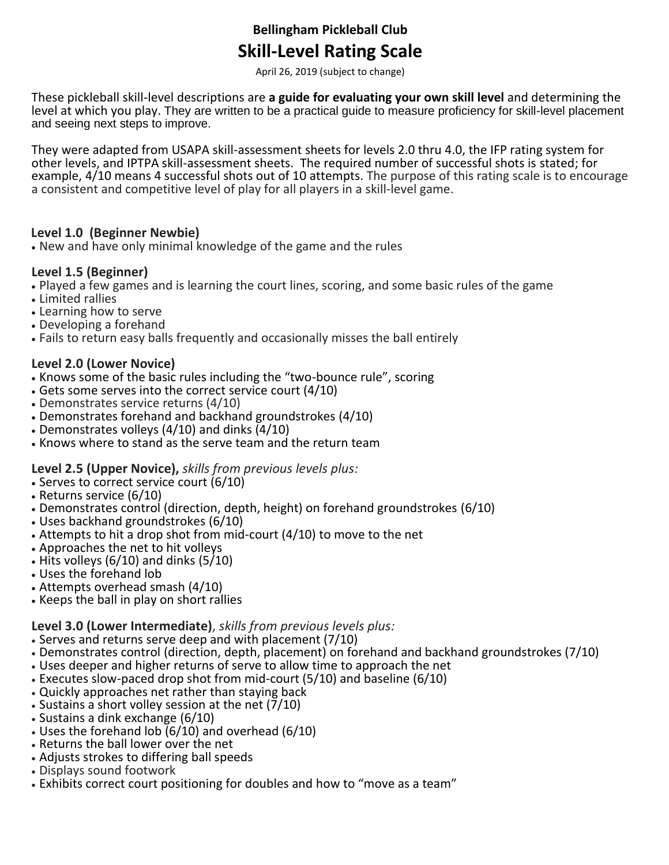# **Bellingham Pickleball Club Skill-Level Rating Scale**

April 26, 2019 (subject to change)

These pickleball skill-level descriptions are **a guide for evaluating your own skill level** and determining the level at which you play. They are written to be a practical guide to measure proficiency for skill-level placement and seeing next steps to improve.

They were adapted from USAPA skill-assessment sheets for levels 2.0 thru 4.0, the IFP rating system for other levels, and IPTPA skill-assessment sheets. The required number of successful shots is stated; for example, 4/10 means 4 successful shots out of 10 attempts. The purpose of this rating scale is to encourage a consistent and competitive level of play for all players in a skill-level game.

#### **Level 1.0 (Beginner Newbie)**

• New and have only minimal knowledge of the game and the rules

#### **Level 1.5 (Beginner)**

- Played a few games and is learning the court lines, scoring, and some basic rules of the game
- Limited rallies
- Learning how to serve
- Developing a forehand
- Fails to return easy balls frequently and occasionally misses the ball entirely

## **Level 2.0 (Lower Novice)**

- Knows some of the basic rules including the "two-bounce rule", scoring
- Gets some serves into the correct service court (4/10)
- Demonstrates service returns (4/10)
- Demonstrates forehand and backhand groundstrokes (4/10)
- Demonstrates volleys (4/10) and dinks (4/10)
- Knows where to stand as the serve team and the return team

## **Level 2.5 (Upper Novice),** *skills from previous levels plus:*

- Serves to correct service court (6/10)
- Returns service (6/10)
- Demonstrates control (direction, depth, height) on forehand groundstrokes (6/10)
- Uses backhand groundstrokes (6/10)
- Attempts to hit a drop shot from mid-court (4/10) to move to the net
- Approaches the net to hit volleys
- Hits volleys  $(6/10)$  and dinks  $(5/10)$
- Uses the forehand lob
- Attempts overhead smash (4/10)
- Keeps the ball in play on short rallies

## **Level 3.0 (Lower Intermediate)**, *skills from previous levels plus:*

- Serves and returns serve deep and with placement (7/10)
- Demonstrates control (direction, depth, placement) on forehand and backhand groundstrokes (7/10)
- Uses deeper and higher returns of serve to allow time to approach the net
- Executes slow-paced drop shot from mid-court (5/10) and baseline (6/10)
- Quickly approaches net rather than staying back
- Sustains a short volley session at the net (7/10)
- Sustains a dink exchange (6/10)
- Uses the forehand lob  $(6/10)$  and overhead  $(6/10)$
- Returns the ball lower over the net
- Adjusts strokes to differing ball speeds
- Displays sound footwork
- Exhibits correct court positioning for doubles and how to "move as a team"